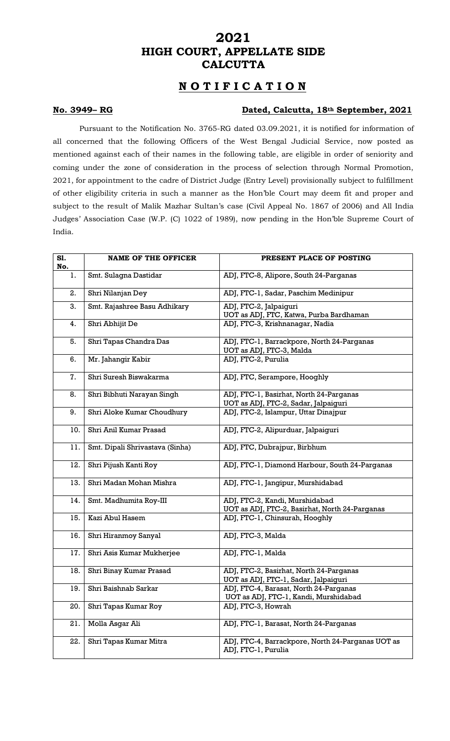# **2021 HIGH COURT, APPELLATE SIDE CALCUTTA**

# **N O T I F I C A T I O N**

### **No. 3949– RG Dated, Calcutta, 18th September, 2021**

Pursuant to the Notification No. 3765-RG dated 03.09.2021, it is notified for information of all concerned that the following Officers of the West Bengal Judicial Service, now posted as mentioned against each of their names in the following table, are eligible in order of seniority and coming under the zone of consideration in the process of selection through Normal Promotion, 2021, for appointment to the cadre of District Judge (Entry Level) provisionally subject to fulfillment of other eligibility criteria in such a manner as the Hon'ble Court may deem fit and proper and subject to the result of Malik Mazhar Sultan's case (Civil Appeal No. 1867 of 2006) and All India Judges' Association Case (W.P. (C) 1022 of 1989), now pending in the Hon'ble Supreme Court of India.

| S1.<br>No. | <b>NAME OF THE OFFICER</b>      | PRESENT PLACE OF POSTING                                                         |
|------------|---------------------------------|----------------------------------------------------------------------------------|
| 1.         | Smt. Sulagna Dastidar           | ADJ, FTC-8, Alipore, South 24-Parganas                                           |
| 2.         | Shri Nilanjan Dey               | ADJ, FTC-1, Sadar, Paschim Medinipur                                             |
| 3.         | Smt. Rajashree Basu Adhikary    | ADJ, FTC-2, Jalpaiguri<br>UOT as ADJ, FTC, Katwa, Purba Bardhaman                |
| 4.         | Shri Abhijit De                 | ADJ, FTC-3, Krishnanagar, Nadia                                                  |
| 5.         | Shri Tapas Chandra Das          | ADJ, FTC-1, Barrackpore, North 24-Parganas<br>UOT as ADJ, FTC-3, Malda           |
| 6.         | Mr. Jahangir Kabir              | ADJ, FTC-2, Purulia                                                              |
| 7.         | Shri Suresh Biswakarma          | ADJ, FTC, Serampore, Hooghly                                                     |
| 8.         | Shri Bibhuti Narayan Singh      | ADJ, FTC-1, Basirhat, North 24-Parganas<br>UOT as ADJ, FTC-2, Sadar, Jalpaiguri  |
| 9.         | Shri Aloke Kumar Choudhury      | ADJ, FTC-2, Islampur, Uttar Dinajpur                                             |
| 10.        | Shri Anil Kumar Prasad          | ADJ, FTC-2, Alipurduar, Jalpaiguri                                               |
| 11.        | Smt. Dipali Shrivastava (Sinha) | ADJ, FTC, Dubrajpur, Birbhum                                                     |
| 12.        | Shri Pijush Kanti Roy           | ADJ, FTC-1, Diamond Harbour, South 24-Parganas                                   |
| 13.        | Shri Madan Mohan Mishra         | ADJ, FTC-1, Jangipur, Murshidabad                                                |
| 14.        | Smt. Madhumita Roy-III          | ADJ, FTC-2, Kandi, Murshidabad<br>UOT as ADJ, FTC-2, Basirhat, North 24-Parganas |
| 15.        | Kazi Abul Hasem                 | ADJ, FTC-1, Chinsurah, Hooghly                                                   |
| 16.        | Shri Hiranmoy Sanyal            | ADJ, FTC-3, Malda                                                                |
| 17.        | Shri Asis Kumar Mukherjee       | ADJ, FTC-1, Malda                                                                |
| 18.        | Shri Binay Kumar Prasad         | ADJ, FTC-2, Basirhat, North 24-Parganas<br>UOT as ADJ, FTC-1, Sadar, Jalpaiguri  |
| 19.        | Shri Baishnab Sarkar            | ADJ, FTC-4, Barasat, North 24-Parganas<br>UOT as ADJ, FTC-1, Kandi, Murshidabad  |
| 20.        | Shri Tapas Kumar Roy            | ADJ, FTC-3, Howrah                                                               |
| 21.        | Molla Asgar Ali                 | ADJ, FTC-1, Barasat, North 24-Parganas                                           |
| 22.        | Shri Tapas Kumar Mitra          | ADJ, FTC-4, Barrackpore, North 24-Parganas UOT as<br>ADJ, FTC-1, Purulia         |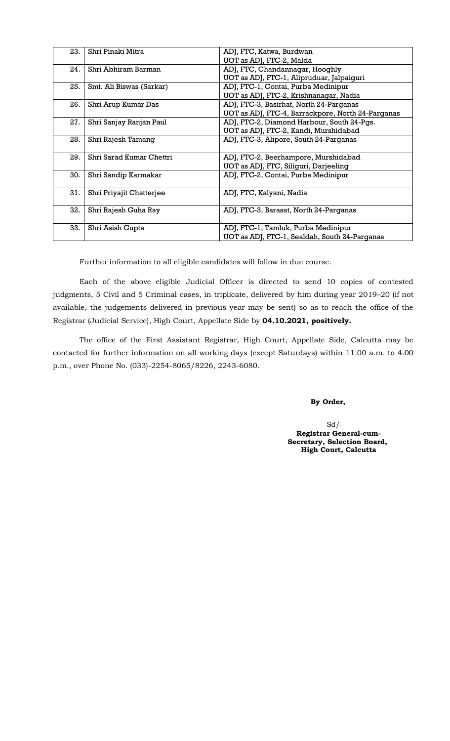| 23. | Shri Pinaki Mitra        | ADJ, FTC, Katwa, Burdwan<br>UOT as ADJ, FTC-2, Malda                                         |
|-----|--------------------------|----------------------------------------------------------------------------------------------|
| 24. | Shri Abhiram Barman      | ADJ, FTC, Chandannagar, Hooghly<br>UOT as ADJ, FTC-1, Alipruduar, Jalpaiguri                 |
| 25. | Smt. Ali Biswas (Sarkar) | ADJ, FTC-1, Contai, Purba Medinipur<br>UOT as ADJ, FTC-2, Krishnanagar, Nadia                |
| 26. | Shri Arup Kumar Das      | ADJ, FTC-3, Basirhat, North 24-Parganas<br>UOT as ADJ, FTC-4, Barrackpore, North 24-Parganas |
| 27. | Shri Sanjay Ranjan Paul  | ADJ, FTC-2, Diamond Harbour, South 24-Pgs.<br>UOT as ADJ, FTC-2, Kandi, Murshidabad          |
| 28. | Shri Rajesh Tamang       | ADJ, FTC-3, Alipore, South 24-Parganas                                                       |
| 29. | Shri Sarad Kumar Chettri | ADJ, FTC-2, Beerhampore, Murshidabad<br>UOT as ADJ, FTC, Siliguri, Darjeeling                |
| 30. | Shri Sandip Karmakar     | ADJ, FTC-2, Contai, Purba Medinipur                                                          |
| 31. | Shri Priyajit Chatterjee | ADJ, FTC, Kalyani, Nadia                                                                     |
| 32. | Shri Rajesh Guha Ray     | ADJ, FTC-3, Barasat, North 24-Parganas                                                       |
| 33. | Shri Asish Gupta         | ADJ, FTC-1, Tamluk, Purba Medinipur<br>UOT as ADJ, FTC-1, Sealdah, South 24-Parganas         |

Further information to all eligible candidates will follow in due course.

Each of the above eligible Judicial Officer is directed to send 10 copies of contested judgments, 5 Civil and 5 Criminal cases, in triplicate, delivered by him during year 2019–20 (if not available, the judgements delivered in previous year may be sent) so as to reach the office of the Registrar (Judicial Service), High Court, Appellate Side by **04.10.2021, positively.**

The office of the First Assistant Registrar, High Court, Appellate Side, Calcutta may be contacted for further information on all working days (except Saturdays) within 11.00 a.m. to 4.00 p.m., over Phone No. (033)-2254-8065/8226, 2243-6080.

 **By Order,**

 $Sd$  /-**Registrar General-cum-Secretary, Selection Board, High Court, Calcutta**